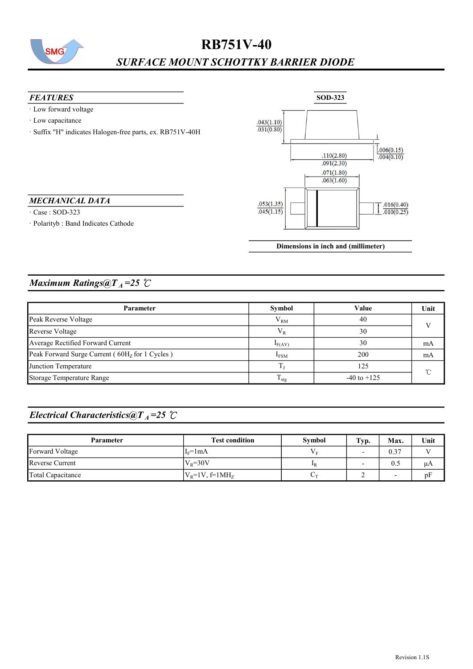

# RB751V-40 SURFACE MOUNT SCHOTTKY BARRIER DIODE

- · Low forward voltage
- · Low capacitance
- · Suffix "H" indicates Halogen-free parts, ex. RB751V-40H

#### MECHANICAL DATA

· Case : SOD-323

· Polarityb : Band Indicates Cathode



Dimensions in inch and (millimeter)

#### Maximum Ratings@ $T_A = 25$  °C

| Parameter                                      | Symbol             | Value           | Unit     |  |
|------------------------------------------------|--------------------|-----------------|----------|--|
| Peak Reverse Voltage                           | ${\rm V}_{\rm RM}$ | 40              |          |  |
| Reverse Voltage                                | $V_{R}$            | 30              |          |  |
| Average Rectified Forward Current              | $I_{F(AV)}$        | 30              | mA       |  |
| Peak Forward Surge Current (60Hz for 1 Cycles) | I <sub>FSM</sub>   | 200             | mA       |  |
| Junction Temperature                           |                    | 125             | $\gamma$ |  |
| Storage Temperature Range                      | $\frac{1}{1}$ stg  | $-40$ to $+125$ |          |  |

## Electrical Characteristics@T<sub>A</sub>=25 °C

| <b>Parameter</b>  | <b>Test condition</b> | Symbol                    | Typ. | Max.                     | Unit |
|-------------------|-----------------------|---------------------------|------|--------------------------|------|
| Forward Voltage   | $I_F=1mA$             | Vс                        |      | 0.37                     |      |
| Reverse Current   | $ V_{R}=30V$          | $\mathbf{I}$ <sub>R</sub> |      | 0.5                      | μA   |
| Total Capacitance | $ V_R=1V, f=1MHz$     | $\sim$                    | -    | $\overline{\phantom{a}}$ | pF   |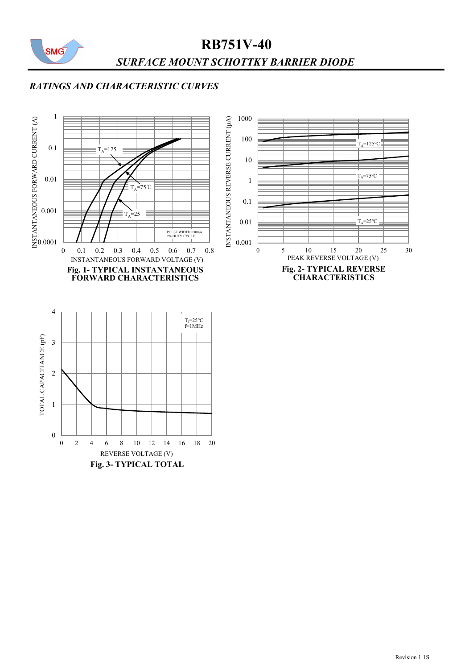

# RB751V-40 SURFACE MOUNT SCHOTTKY BARRIER DIODE

### RATINGS AND CHARACTERISTIC CURVES

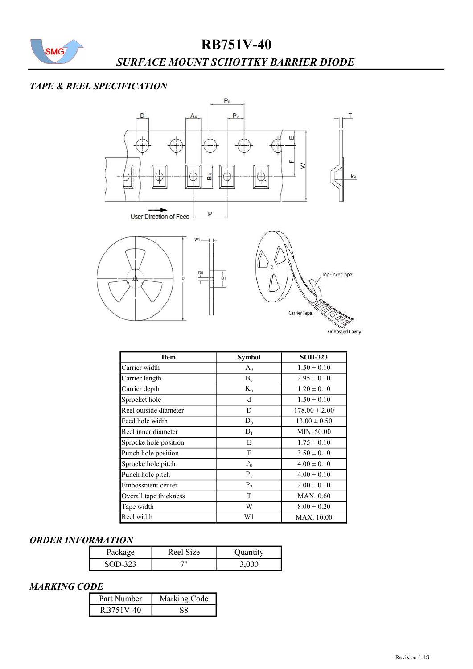

# RB751V-40

## SURFACE MOUNT SCHOTTKY BARRIER DIODE

#### TAPE & REEL SPECIFICATION



| Item                   | <b>Symbol</b> | <b>SOD-323</b>    |
|------------------------|---------------|-------------------|
| Carrier width          | $A_0$         | $1.50 \pm 0.10$   |
| Carrier length         | $B_0$         | $2.95 \pm 0.10$   |
| Carrier depth          | $K_0$         | $1.20 \pm 0.10$   |
| Sprocket hole          | d             | $1.50 \pm 0.10$   |
| Reel outside diameter  | D             | $178.00 \pm 2.00$ |
| Feed hole width        | $D_0$         | $13.00 \pm 0.50$  |
| Reel inner diameter    | $D_1$         | MIN. 50.00        |
| Sprocke hole position  | E             | $1.75 \pm 0.10$   |
| Punch hole position    | F             | $3.50 \pm 0.10$   |
| Sprocke hole pitch     | $P_0$         | $4.00 \pm 0.10$   |
| Punch hole pitch       | $P_1$         | $4.00 \pm 0.10$   |
| Embossment center      | $P_2$         | $2.00 \pm 0.10$   |
| Overall tape thickness | T             | MAX. 0.60         |
| Tape width             | W             | $8.00 \pm 0.20$   |
| Reel width             | W1            | MAX. 10.00        |

#### ORDER INFORMATION

| Package | Reel Size | Quantity |
|---------|-----------|----------|
| SOD-323 |           | 3.000    |

#### MARKING CODE

| Part Number | Marking Code |
|-------------|--------------|
| RB751V-40   |              |